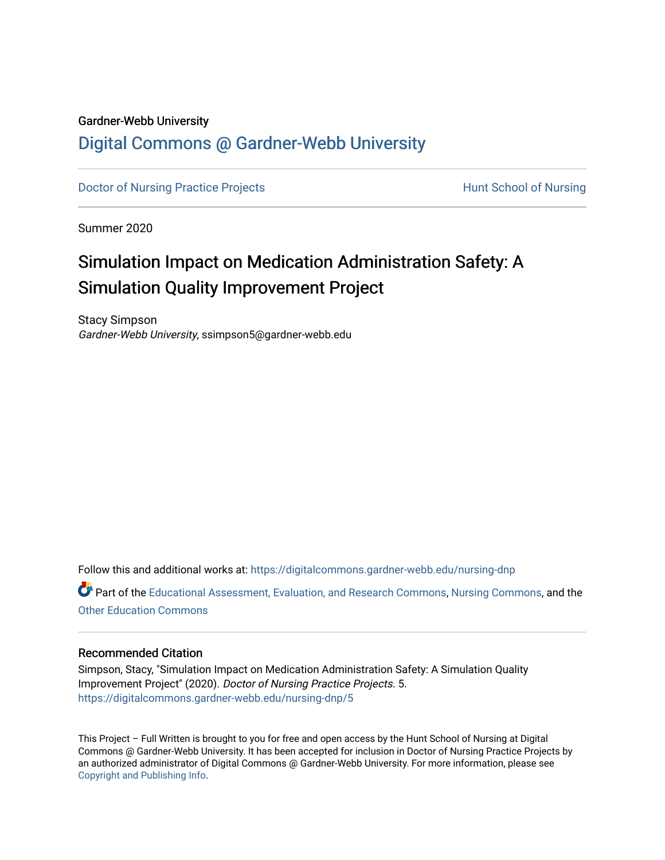### Gardner-Webb University

# [Digital Commons @ Gardner-Webb University](https://digitalcommons.gardner-webb.edu/)

[Doctor of Nursing Practice Projects](https://digitalcommons.gardner-webb.edu/nursing-dnp) **Hunt School of Nursing** 

Summer 2020

# Simulation Impact on Medication Administration Safety: A Simulation Quality Improvement Project

Stacy Simpson Gardner-Webb University, ssimpson5@gardner-webb.edu

Follow this and additional works at: [https://digitalcommons.gardner-webb.edu/nursing-dnp](https://digitalcommons.gardner-webb.edu/nursing-dnp?utm_source=digitalcommons.gardner-webb.edu%2Fnursing-dnp%2F5&utm_medium=PDF&utm_campaign=PDFCoverPages) 

Part of the [Educational Assessment, Evaluation, and Research Commons](https://network.bepress.com/hgg/discipline/796?utm_source=digitalcommons.gardner-webb.edu%2Fnursing-dnp%2F5&utm_medium=PDF&utm_campaign=PDFCoverPages), [Nursing Commons,](https://network.bepress.com/hgg/discipline/718?utm_source=digitalcommons.gardner-webb.edu%2Fnursing-dnp%2F5&utm_medium=PDF&utm_campaign=PDFCoverPages) and the [Other Education Commons](https://network.bepress.com/hgg/discipline/811?utm_source=digitalcommons.gardner-webb.edu%2Fnursing-dnp%2F5&utm_medium=PDF&utm_campaign=PDFCoverPages) 

### Recommended Citation

Simpson, Stacy, "Simulation Impact on Medication Administration Safety: A Simulation Quality Improvement Project" (2020). Doctor of Nursing Practice Projects. 5. [https://digitalcommons.gardner-webb.edu/nursing-dnp/5](https://digitalcommons.gardner-webb.edu/nursing-dnp/5?utm_source=digitalcommons.gardner-webb.edu%2Fnursing-dnp%2F5&utm_medium=PDF&utm_campaign=PDFCoverPages) 

This Project – Full Written is brought to you for free and open access by the Hunt School of Nursing at Digital Commons @ Gardner-Webb University. It has been accepted for inclusion in Doctor of Nursing Practice Projects by an authorized administrator of Digital Commons @ Gardner-Webb University. For more information, please see [Copyright and Publishing Info.](https://digitalcommons.gardner-webb.edu/copyright_publishing.html)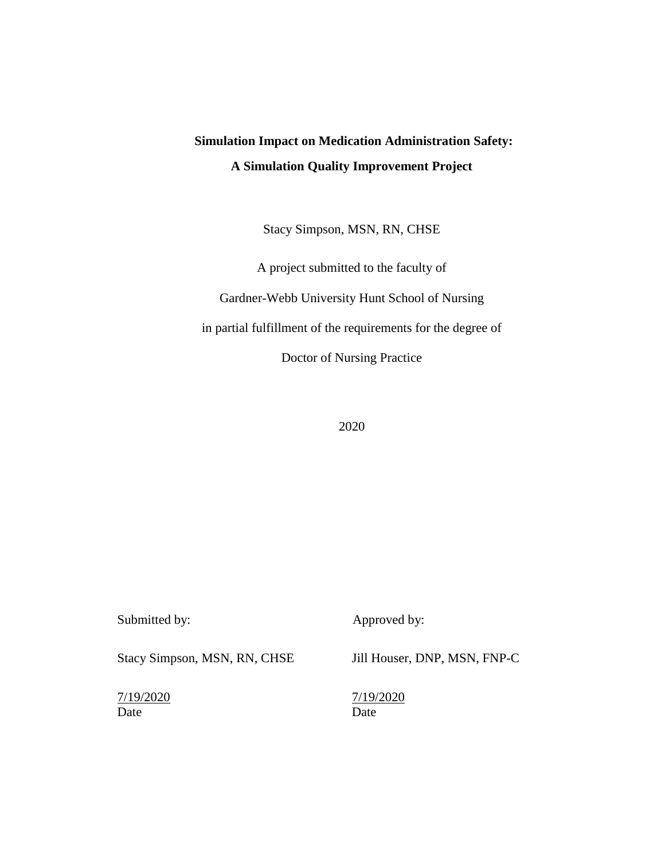# **Simulation Impact on Medication Administration Safety: A Simulation Quality Improvement Project**

Stacy Simpson, MSN, RN, CHSE

A project submitted to the faculty of Gardner-Webb University Hunt School of Nursing in partial fulfillment of the requirements for the degree of Doctor of Nursing Practice

| Submitted by:                | Approved by:                 |
|------------------------------|------------------------------|
| Stacy Simpson, MSN, RN, CHSE | Jill Houser, DNP, MSN, FNP-C |
| 7/19/2020<br>Date            | 7/19/2020<br>Date            |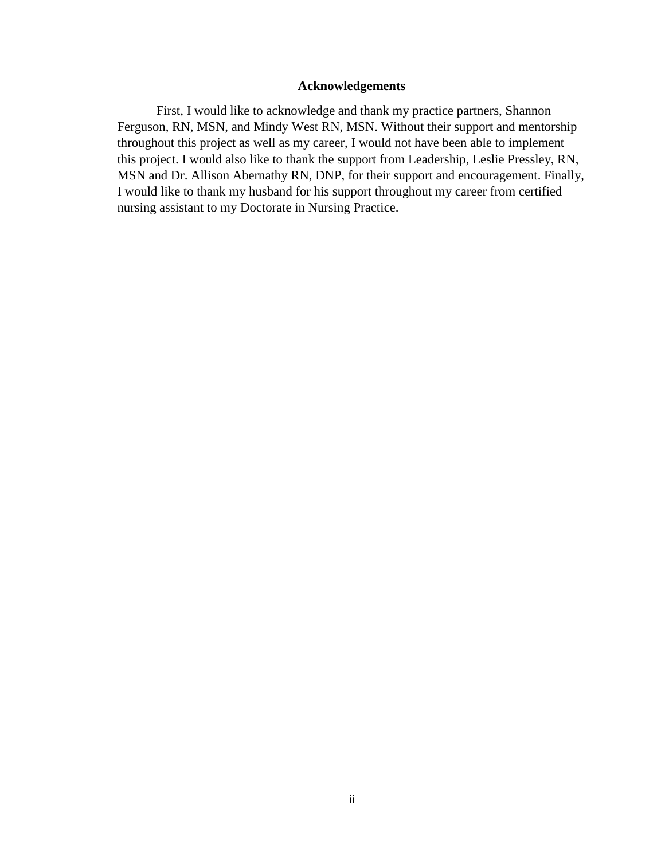### **Acknowledgements**

First, I would like to acknowledge and thank my practice partners, Shannon Ferguson, RN, MSN, and Mindy West RN, MSN. Without their support and mentorship throughout this project as well as my career, I would not have been able to implement this project. I would also like to thank the support from Leadership, Leslie Pressley, RN, MSN and Dr. Allison Abernathy RN, DNP, for their support and encouragement. Finally, I would like to thank my husband for his support throughout my career from certified nursing assistant to my Doctorate in Nursing Practice.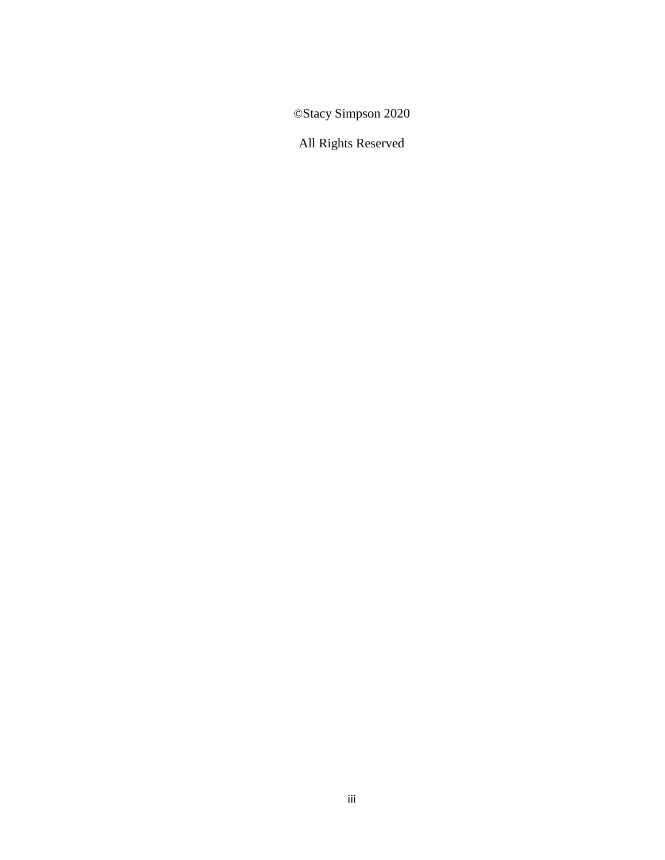©Stacy Simpson 2020

All Rights Reserved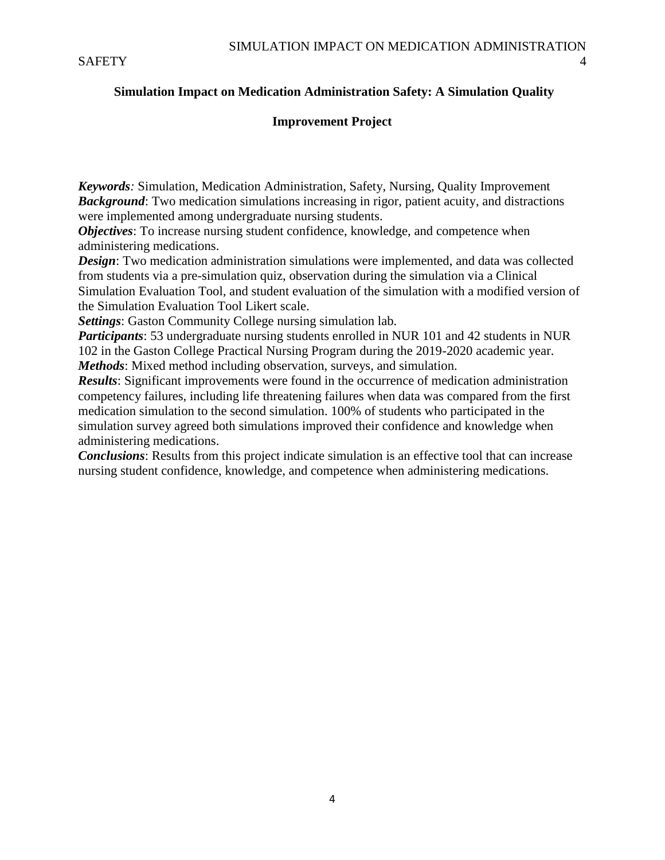### **Simulation Impact on Medication Administration Safety: A Simulation Quality**

### **Improvement Project**

*Keywords:* Simulation, Medication Administration, Safety, Nursing, Quality Improvement *Background*: Two medication simulations increasing in rigor, patient acuity, and distractions were implemented among undergraduate nursing students.

*Objectives*: To increase nursing student confidence, knowledge, and competence when administering medications.

*Design*: Two medication administration simulations were implemented, and data was collected from students via a pre-simulation quiz, observation during the simulation via a Clinical Simulation Evaluation Tool, and student evaluation of the simulation with a modified version of the Simulation Evaluation Tool Likert scale.

*Settings*: Gaston Community College nursing simulation lab.

*Participants*: 53 undergraduate nursing students enrolled in NUR 101 and 42 students in NUR 102 in the Gaston College Practical Nursing Program during the 2019-2020 academic year. *Methods*: Mixed method including observation, surveys, and simulation.

*Results*: Significant improvements were found in the occurrence of medication administration competency failures, including life threatening failures when data was compared from the first medication simulation to the second simulation. 100% of students who participated in the simulation survey agreed both simulations improved their confidence and knowledge when administering medications.

*Conclusions*: Results from this project indicate simulation is an effective tool that can increase nursing student confidence, knowledge, and competence when administering medications.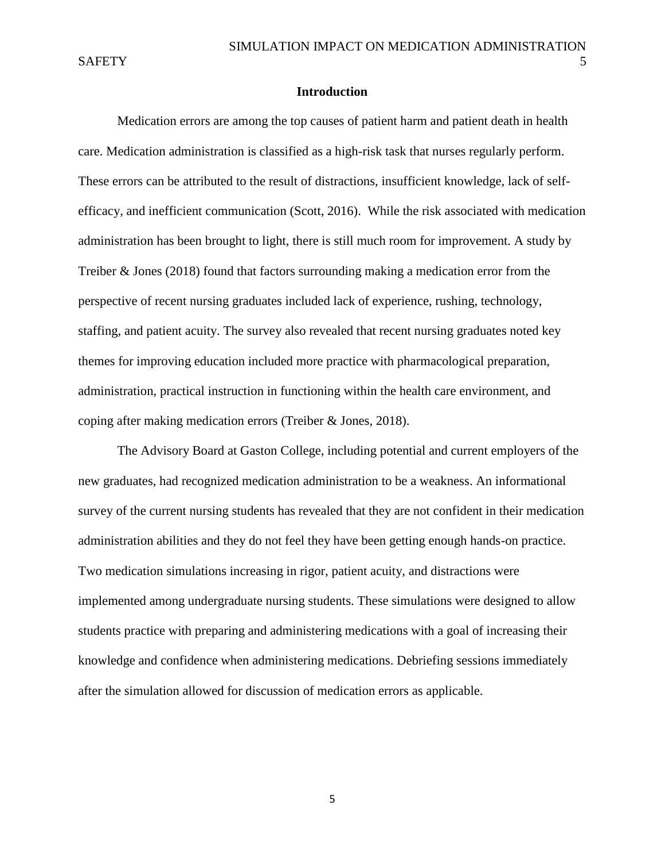### **Introduction**

Medication errors are among the top causes of patient harm and patient death in health care. Medication administration is classified as a high-risk task that nurses regularly perform. These errors can be attributed to the result of distractions, insufficient knowledge, lack of selfefficacy, and inefficient communication (Scott, 2016). While the risk associated with medication administration has been brought to light, there is still much room for improvement. A study by Treiber & Jones (2018) found that factors surrounding making a medication error from the perspective of recent nursing graduates included lack of experience, rushing, technology, staffing, and patient acuity. The survey also revealed that recent nursing graduates noted key themes for improving education included more practice with pharmacological preparation, administration, practical instruction in functioning within the health care environment, and coping after making medication errors (Treiber & Jones, 2018).

The Advisory Board at Gaston College, including potential and current employers of the new graduates, had recognized medication administration to be a weakness. An informational survey of the current nursing students has revealed that they are not confident in their medication administration abilities and they do not feel they have been getting enough hands-on practice. Two medication simulations increasing in rigor, patient acuity, and distractions were implemented among undergraduate nursing students. These simulations were designed to allow students practice with preparing and administering medications with a goal of increasing their knowledge and confidence when administering medications. Debriefing sessions immediately after the simulation allowed for discussion of medication errors as applicable.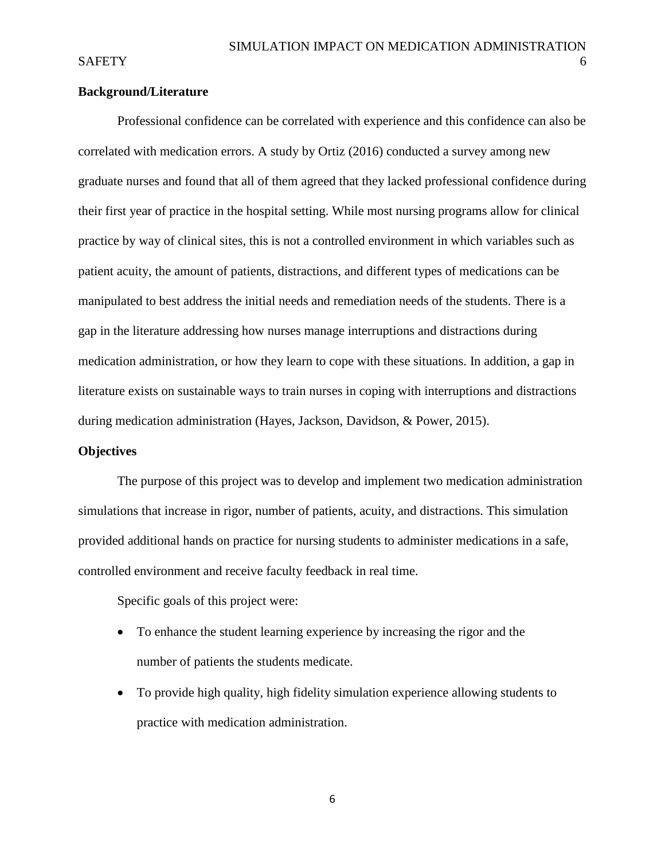### **Background/Literature**

Professional confidence can be correlated with experience and this confidence can also be correlated with medication errors. A study by Ortiz (2016) conducted a survey among new graduate nurses and found that all of them agreed that they lacked professional confidence during their first year of practice in the hospital setting. While most nursing programs allow for clinical practice by way of clinical sites, this is not a controlled environment in which variables such as patient acuity, the amount of patients, distractions, and different types of medications can be manipulated to best address the initial needs and remediation needs of the students. There is a gap in the literature addressing how nurses manage interruptions and distractions during medication administration, or how they learn to cope with these situations. In addition, a gap in literature exists on sustainable ways to train nurses in coping with interruptions and distractions during medication administration (Hayes, Jackson, Davidson, & Power, 2015).

### **Objectives**

The purpose of this project was to develop and implement two medication administration simulations that increase in rigor, number of patients, acuity, and distractions. This simulation provided additional hands on practice for nursing students to administer medications in a safe, controlled environment and receive faculty feedback in real time.

Specific goals of this project were:

- To enhance the student learning experience by increasing the rigor and the number of patients the students medicate.
- To provide high quality, high fidelity simulation experience allowing students to practice with medication administration.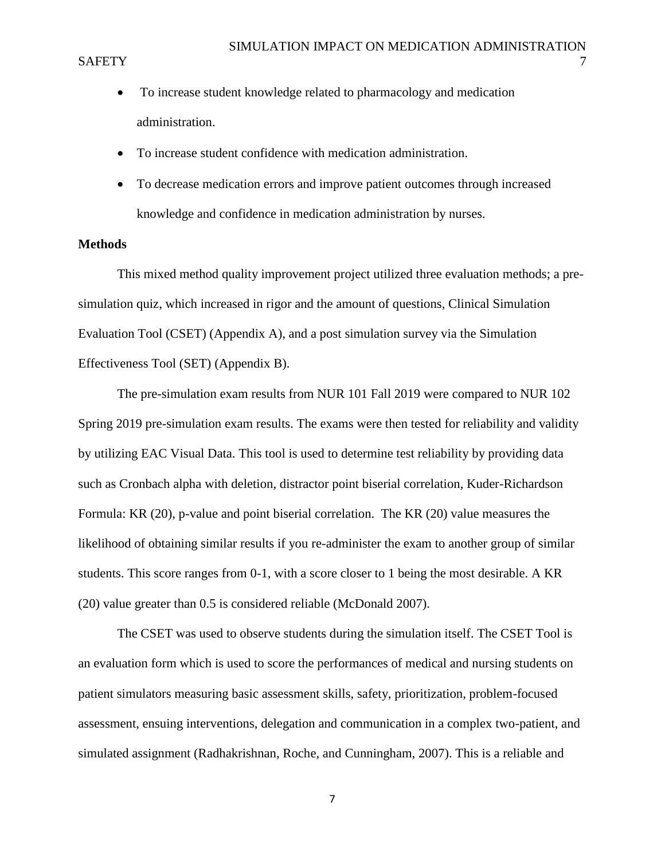- To increase student knowledge related to pharmacology and medication administration.
- To increase student confidence with medication administration.
- To decrease medication errors and improve patient outcomes through increased knowledge and confidence in medication administration by nurses.

### **Methods**

This mixed method quality improvement project utilized three evaluation methods; a presimulation quiz, which increased in rigor and the amount of questions, Clinical Simulation Evaluation Tool (CSET) (Appendix A), and a post simulation survey via the Simulation Effectiveness Tool (SET) (Appendix B).

The pre-simulation exam results from NUR 101 Fall 2019 were compared to NUR 102 Spring 2019 pre-simulation exam results. The exams were then tested for reliability and validity by utilizing EAC Visual Data. This tool is used to determine test reliability by providing data such as Cronbach alpha with deletion, distractor point biserial correlation, Kuder-Richardson Formula: KR (20), p-value and point biserial correlation. The KR (20) value measures the likelihood of obtaining similar results if you re-administer the exam to another group of similar students. This score ranges from 0-1, with a score closer to 1 being the most desirable. A KR (20) value greater than 0.5 is considered reliable (McDonald 2007).

The CSET was used to observe students during the simulation itself. The CSET Tool is an evaluation form which is used to score the performances of medical and nursing students on patient simulators measuring basic assessment skills, safety, prioritization, problem-focused assessment, ensuing interventions, delegation and communication in a complex two-patient, and simulated assignment (Radhakrishnan, Roche, and Cunningham, 2007). This is a reliable and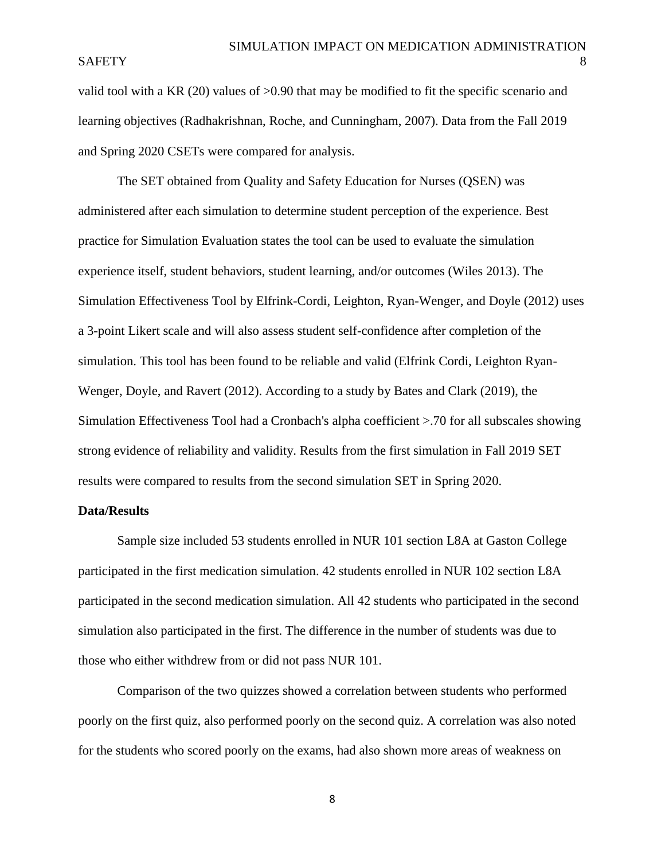### SAFETY 8

valid tool with a KR (20) values of >0.90 that may be modified to fit the specific scenario and learning objectives (Radhakrishnan, Roche, and Cunningham, 2007). Data from the Fall 2019 and Spring 2020 CSETs were compared for analysis.

The SET obtained from Quality and Safety Education for Nurses (QSEN) was administered after each simulation to determine student perception of the experience. Best practice for Simulation Evaluation states the tool can be used to evaluate the simulation experience itself, student behaviors, student learning, and/or outcomes (Wiles 2013). The Simulation Effectiveness Tool by Elfrink-Cordi, Leighton, Ryan-Wenger, and Doyle (2012) uses a 3-point Likert scale and will also assess student self-confidence after completion of the simulation. This tool has been found to be reliable and valid (Elfrink Cordi, Leighton Ryan-Wenger, Doyle, and Ravert (2012). According to a study by Bates and Clark (2019), the Simulation Effectiveness Tool had a Cronbach's alpha coefficient >.70 for all subscales showing strong evidence of reliability and validity. Results from the first simulation in Fall 2019 SET results were compared to results from the second simulation SET in Spring 2020.

#### **Data/Results**

Sample size included 53 students enrolled in NUR 101 section L8A at Gaston College participated in the first medication simulation. 42 students enrolled in NUR 102 section L8A participated in the second medication simulation. All 42 students who participated in the second simulation also participated in the first. The difference in the number of students was due to those who either withdrew from or did not pass NUR 101.

Comparison of the two quizzes showed a correlation between students who performed poorly on the first quiz, also performed poorly on the second quiz. A correlation was also noted for the students who scored poorly on the exams, had also shown more areas of weakness on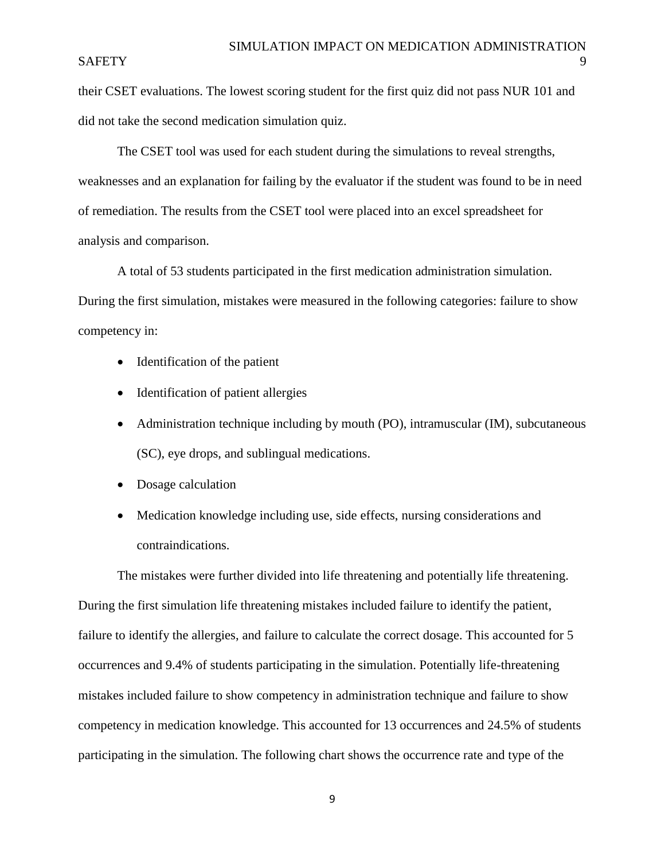### SAFETY 9

their CSET evaluations. The lowest scoring student for the first quiz did not pass NUR 101 and did not take the second medication simulation quiz.

The CSET tool was used for each student during the simulations to reveal strengths, weaknesses and an explanation for failing by the evaluator if the student was found to be in need of remediation. The results from the CSET tool were placed into an excel spreadsheet for analysis and comparison.

A total of 53 students participated in the first medication administration simulation. During the first simulation, mistakes were measured in the following categories: failure to show competency in:

- Identification of the patient
- Identification of patient allergies
- Administration technique including by mouth (PO), intramuscular (IM), subcutaneous (SC), eye drops, and sublingual medications.
- Dosage calculation
- Medication knowledge including use, side effects, nursing considerations and contraindications.

The mistakes were further divided into life threatening and potentially life threatening. During the first simulation life threatening mistakes included failure to identify the patient, failure to identify the allergies, and failure to calculate the correct dosage. This accounted for 5 occurrences and 9.4% of students participating in the simulation. Potentially life-threatening mistakes included failure to show competency in administration technique and failure to show competency in medication knowledge. This accounted for 13 occurrences and 24.5% of students participating in the simulation. The following chart shows the occurrence rate and type of the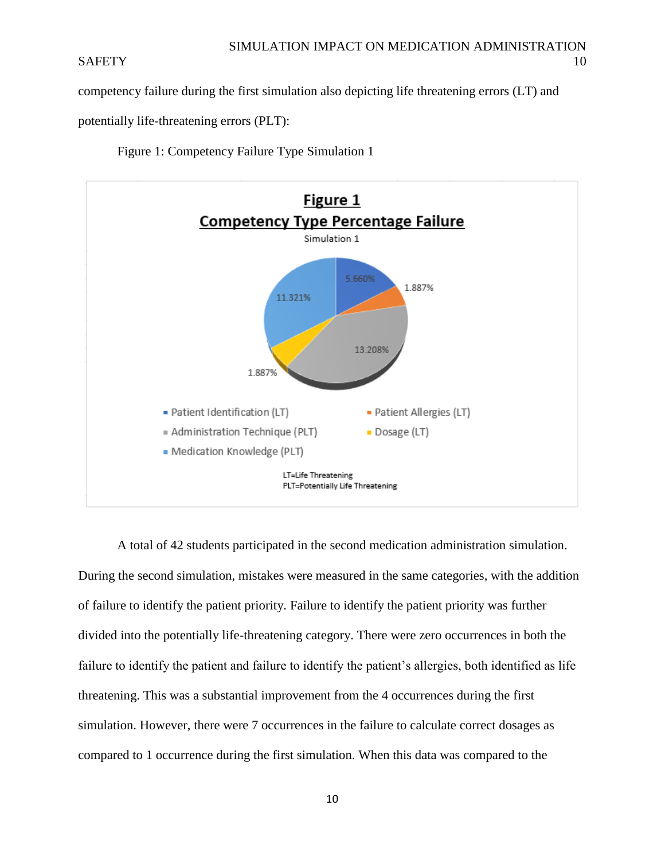competency failure during the first simulation also depicting life threatening errors (LT) and

potentially life-threatening errors (PLT):

Figure 1: Competency Failure Type Simulation 1



A total of 42 students participated in the second medication administration simulation. During the second simulation, mistakes were measured in the same categories, with the addition of failure to identify the patient priority. Failure to identify the patient priority was further divided into the potentially life-threatening category. There were zero occurrences in both the failure to identify the patient and failure to identify the patient's allergies, both identified as life threatening. This was a substantial improvement from the 4 occurrences during the first simulation. However, there were 7 occurrences in the failure to calculate correct dosages as compared to 1 occurrence during the first simulation. When this data was compared to the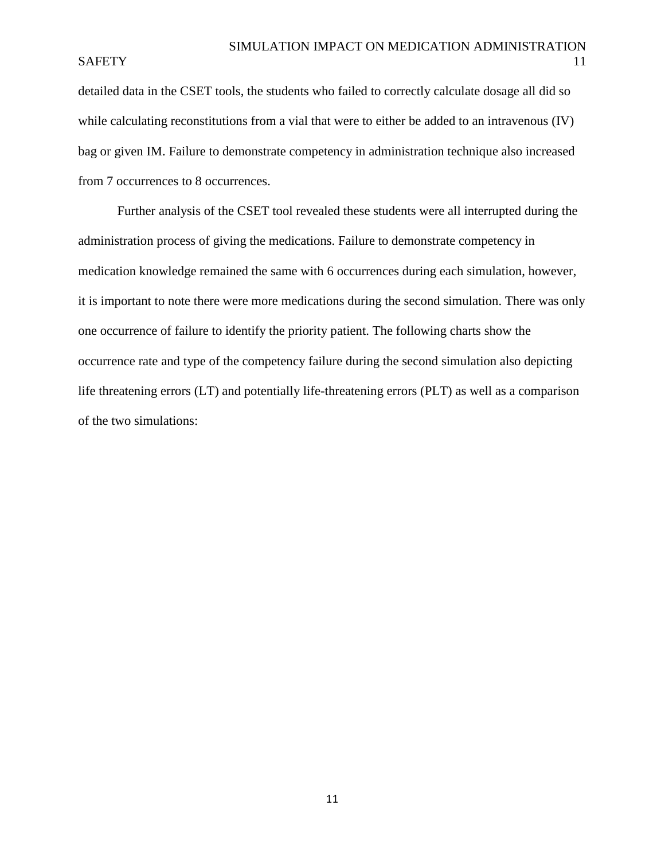detailed data in the CSET tools, the students who failed to correctly calculate dosage all did so while calculating reconstitutions from a vial that were to either be added to an intravenous (IV) bag or given IM. Failure to demonstrate competency in administration technique also increased from 7 occurrences to 8 occurrences.

Further analysis of the CSET tool revealed these students were all interrupted during the administration process of giving the medications. Failure to demonstrate competency in medication knowledge remained the same with 6 occurrences during each simulation, however, it is important to note there were more medications during the second simulation. There was only one occurrence of failure to identify the priority patient. The following charts show the occurrence rate and type of the competency failure during the second simulation also depicting life threatening errors (LT) and potentially life-threatening errors (PLT) as well as a comparison of the two simulations: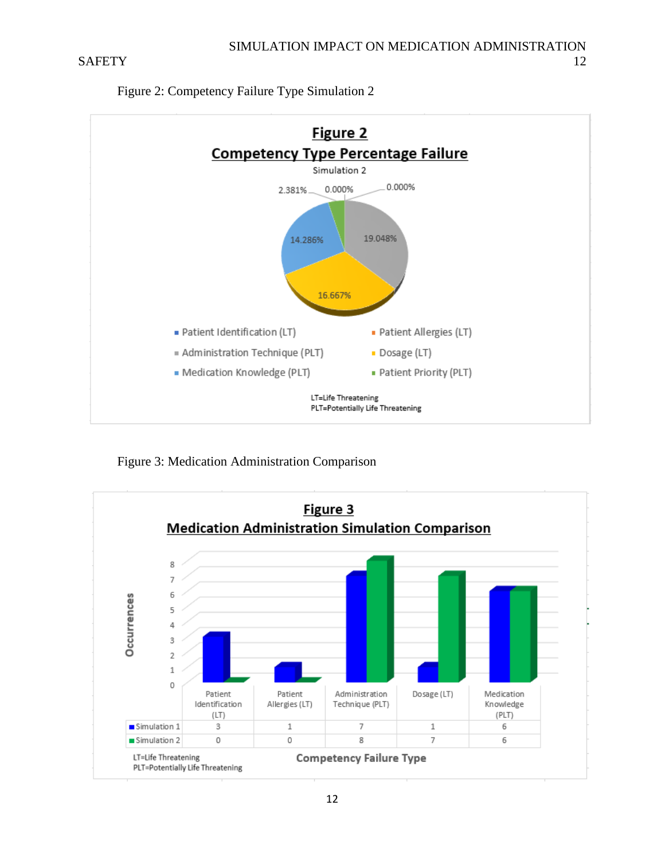

Figure 2: Competency Failure Type Simulation 2

Figure 3: Medication Administration Comparison

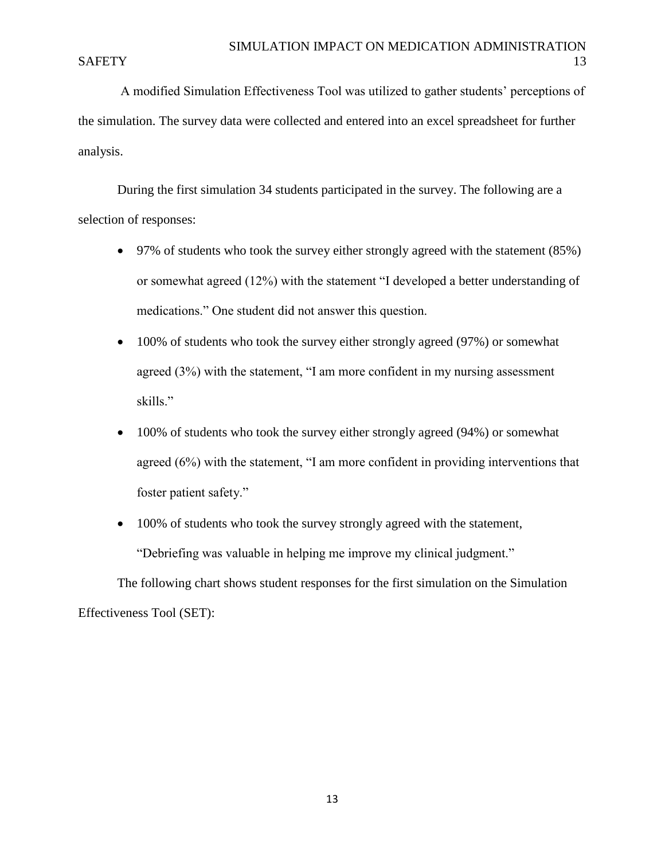A modified Simulation Effectiveness Tool was utilized to gather students' perceptions of the simulation. The survey data were collected and entered into an excel spreadsheet for further analysis.

During the first simulation 34 students participated in the survey. The following are a selection of responses:

- 97% of students who took the survey either strongly agreed with the statement (85%) or somewhat agreed (12%) with the statement "I developed a better understanding of medications." One student did not answer this question.
- 100% of students who took the survey either strongly agreed (97%) or somewhat agreed (3%) with the statement, "I am more confident in my nursing assessment skills."
- 100% of students who took the survey either strongly agreed (94%) or somewhat agreed (6%) with the statement, "I am more confident in providing interventions that foster patient safety."
- 100% of students who took the survey strongly agreed with the statement, "Debriefing was valuable in helping me improve my clinical judgment."

The following chart shows student responses for the first simulation on the Simulation Effectiveness Tool (SET):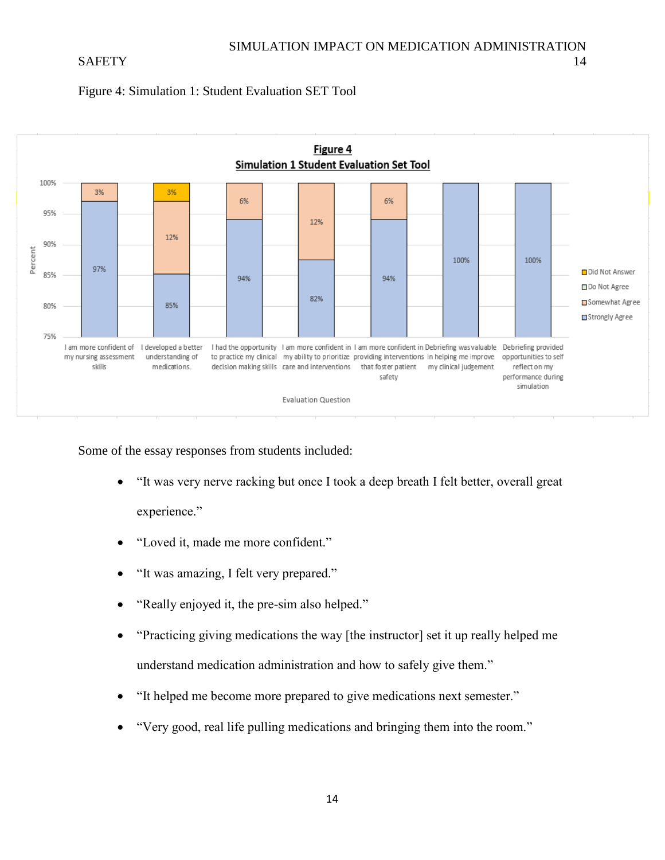### SAFETY 14





Some of the essay responses from students included:

- "It was very nerve racking but once I took a deep breath I felt better, overall great experience."
- "Loved it, made me more confident."
- "It was amazing, I felt very prepared."
- "Really enjoyed it, the pre-sim also helped."
- "Practicing giving medications the way [the instructor] set it up really helped me understand medication administration and how to safely give them."
- "It helped me become more prepared to give medications next semester."
- "Very good, real life pulling medications and bringing them into the room."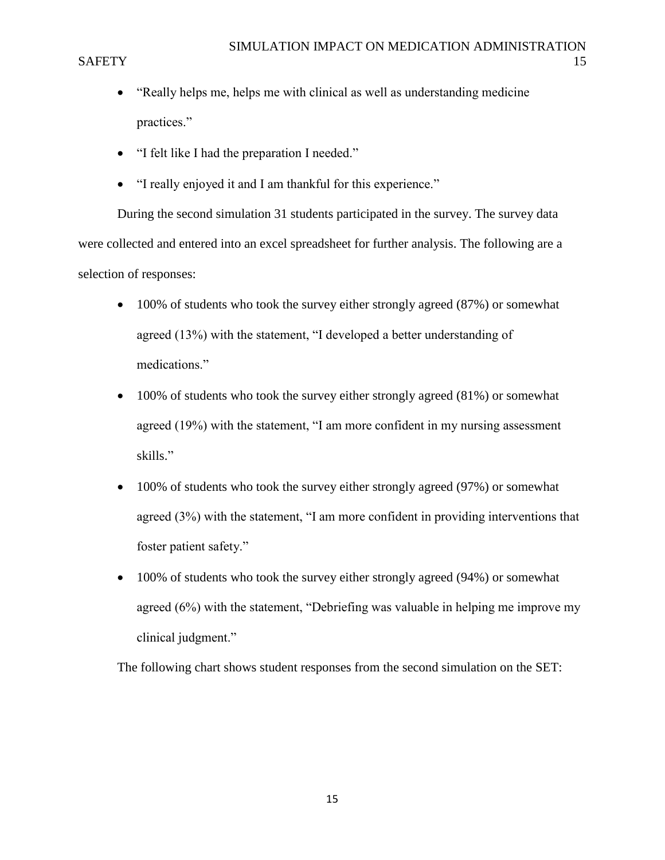- "Really helps me, helps me with clinical as well as understanding medicine practices."
- "I felt like I had the preparation I needed."
- "I really enjoyed it and I am thankful for this experience."

During the second simulation 31 students participated in the survey. The survey data were collected and entered into an excel spreadsheet for further analysis. The following are a selection of responses:

- 100% of students who took the survey either strongly agreed (87%) or somewhat agreed (13%) with the statement, "I developed a better understanding of medications."
- 100% of students who took the survey either strongly agreed (81%) or somewhat agreed (19%) with the statement, "I am more confident in my nursing assessment skills."
- 100% of students who took the survey either strongly agreed (97%) or somewhat agreed (3%) with the statement, "I am more confident in providing interventions that foster patient safety."
- 100% of students who took the survey either strongly agreed (94%) or somewhat agreed (6%) with the statement, "Debriefing was valuable in helping me improve my clinical judgment."

The following chart shows student responses from the second simulation on the SET: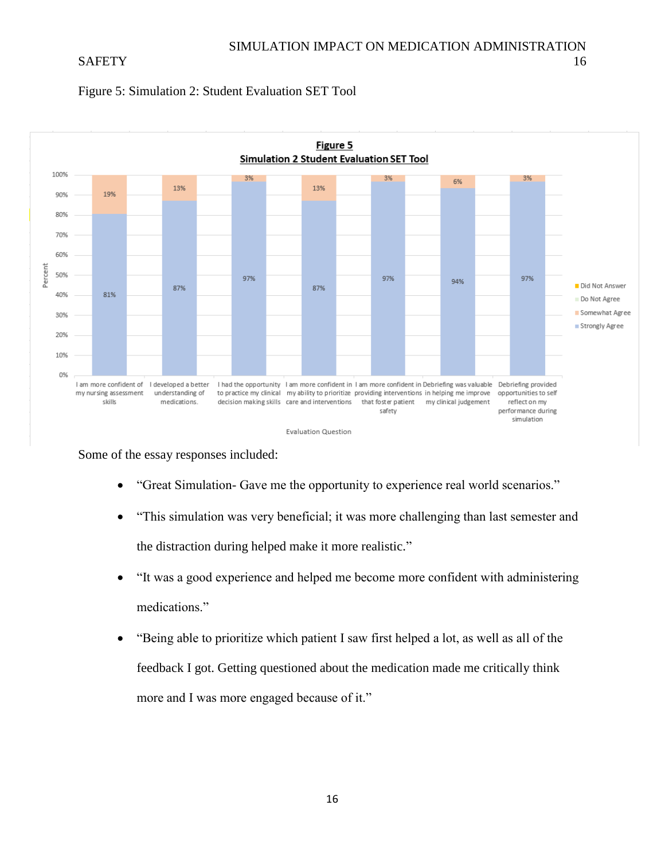



Some of the essay responses included:

- "Great Simulation- Gave me the opportunity to experience real world scenarios."
- "This simulation was very beneficial; it was more challenging than last semester and the distraction during helped make it more realistic."
- "It was a good experience and helped me become more confident with administering medications."
- "Being able to prioritize which patient I saw first helped a lot, as well as all of the feedback I got. Getting questioned about the medication made me critically think more and I was more engaged because of it."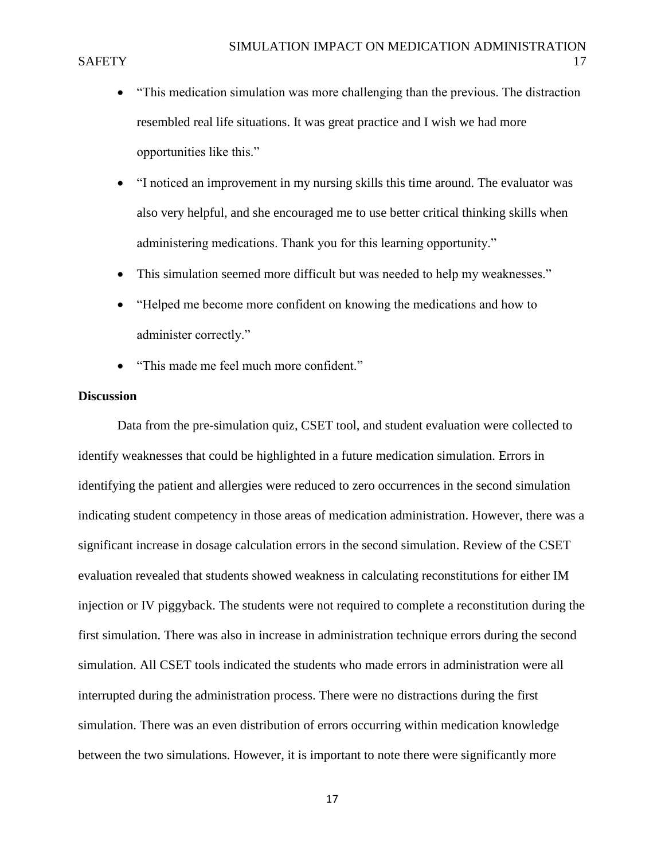- "This medication simulation was more challenging than the previous. The distraction resembled real life situations. It was great practice and I wish we had more opportunities like this."
- "I noticed an improvement in my nursing skills this time around. The evaluator was also very helpful, and she encouraged me to use better critical thinking skills when administering medications. Thank you for this learning opportunity."
- This simulation seemed more difficult but was needed to help my weaknesses."
- "Helped me become more confident on knowing the medications and how to administer correctly."
- "This made me feel much more confident."

### **Discussion**

Data from the pre-simulation quiz, CSET tool, and student evaluation were collected to identify weaknesses that could be highlighted in a future medication simulation. Errors in identifying the patient and allergies were reduced to zero occurrences in the second simulation indicating student competency in those areas of medication administration. However, there was a significant increase in dosage calculation errors in the second simulation. Review of the CSET evaluation revealed that students showed weakness in calculating reconstitutions for either IM injection or IV piggyback. The students were not required to complete a reconstitution during the first simulation. There was also in increase in administration technique errors during the second simulation. All CSET tools indicated the students who made errors in administration were all interrupted during the administration process. There were no distractions during the first simulation. There was an even distribution of errors occurring within medication knowledge between the two simulations. However, it is important to note there were significantly more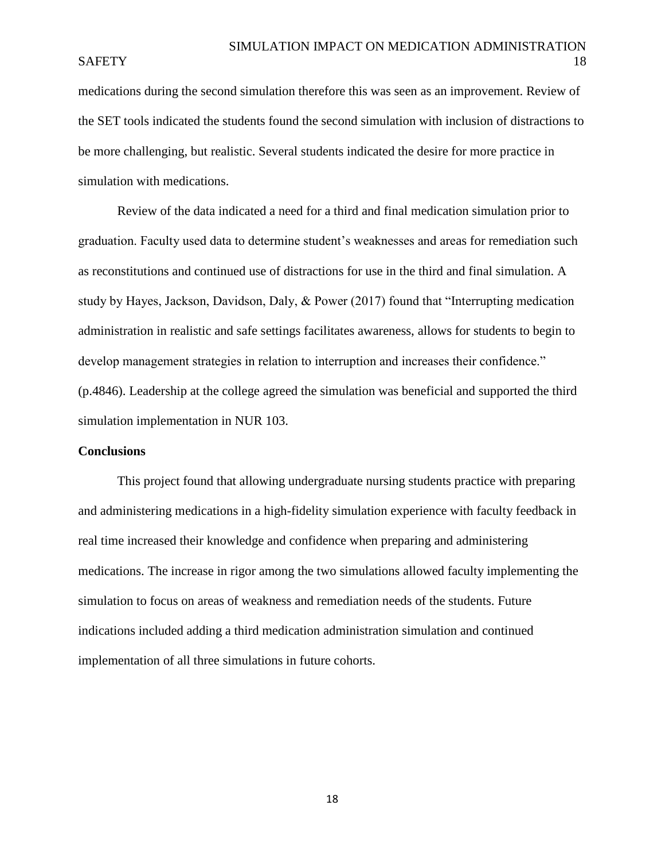medications during the second simulation therefore this was seen as an improvement. Review of the SET tools indicated the students found the second simulation with inclusion of distractions to be more challenging, but realistic. Several students indicated the desire for more practice in simulation with medications.

Review of the data indicated a need for a third and final medication simulation prior to graduation. Faculty used data to determine student's weaknesses and areas for remediation such as reconstitutions and continued use of distractions for use in the third and final simulation. A study by Hayes, Jackson, Davidson, Daly, & Power (2017) found that "Interrupting medication administration in realistic and safe settings facilitates awareness, allows for students to begin to develop management strategies in relation to interruption and increases their confidence." (p.4846). Leadership at the college agreed the simulation was beneficial and supported the third simulation implementation in NUR 103.

### **Conclusions**

This project found that allowing undergraduate nursing students practice with preparing and administering medications in a high-fidelity simulation experience with faculty feedback in real time increased their knowledge and confidence when preparing and administering medications. The increase in rigor among the two simulations allowed faculty implementing the simulation to focus on areas of weakness and remediation needs of the students. Future indications included adding a third medication administration simulation and continued implementation of all three simulations in future cohorts.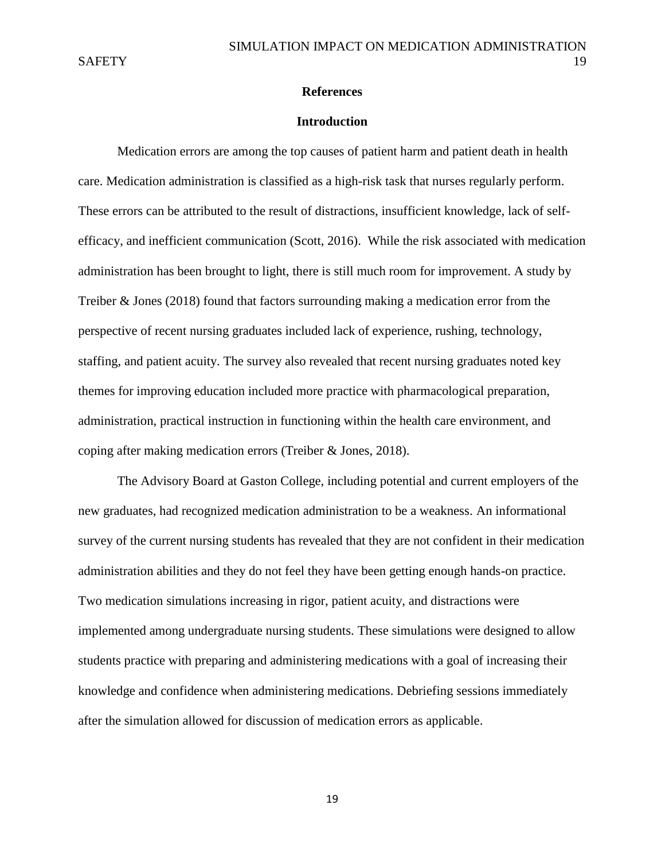### **References**

#### **Introduction**

Medication errors are among the top causes of patient harm and patient death in health care. Medication administration is classified as a high-risk task that nurses regularly perform. These errors can be attributed to the result of distractions, insufficient knowledge, lack of selfefficacy, and inefficient communication (Scott, 2016). While the risk associated with medication administration has been brought to light, there is still much room for improvement. A study by Treiber & Jones (2018) found that factors surrounding making a medication error from the perspective of recent nursing graduates included lack of experience, rushing, technology, staffing, and patient acuity. The survey also revealed that recent nursing graduates noted key themes for improving education included more practice with pharmacological preparation, administration, practical instruction in functioning within the health care environment, and coping after making medication errors (Treiber & Jones, 2018).

The Advisory Board at Gaston College, including potential and current employers of the new graduates, had recognized medication administration to be a weakness. An informational survey of the current nursing students has revealed that they are not confident in their medication administration abilities and they do not feel they have been getting enough hands-on practice. Two medication simulations increasing in rigor, patient acuity, and distractions were implemented among undergraduate nursing students. These simulations were designed to allow students practice with preparing and administering medications with a goal of increasing their knowledge and confidence when administering medications. Debriefing sessions immediately after the simulation allowed for discussion of medication errors as applicable.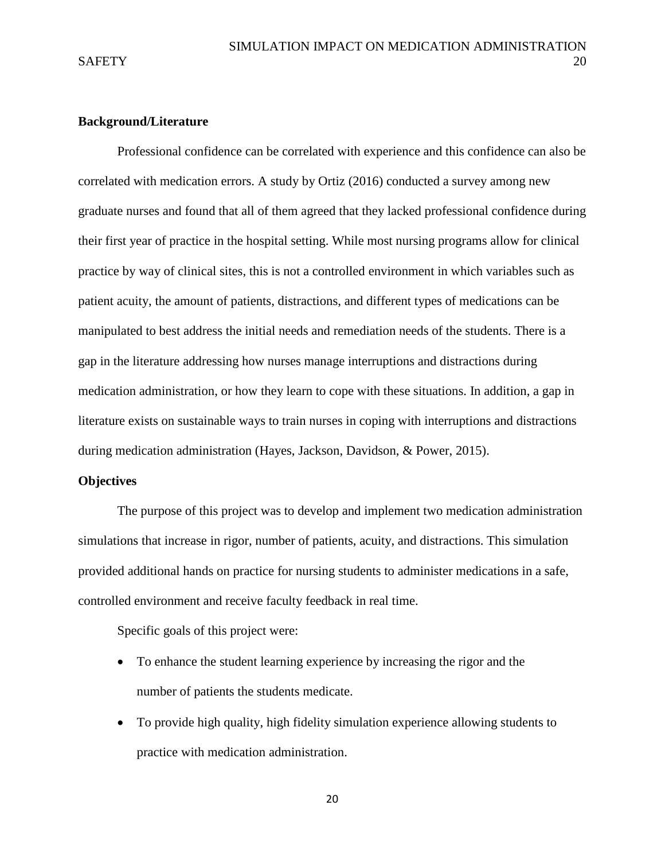### **Background/Literature**

Professional confidence can be correlated with experience and this confidence can also be correlated with medication errors. A study by Ortiz (2016) conducted a survey among new graduate nurses and found that all of them agreed that they lacked professional confidence during their first year of practice in the hospital setting. While most nursing programs allow for clinical practice by way of clinical sites, this is not a controlled environment in which variables such as patient acuity, the amount of patients, distractions, and different types of medications can be manipulated to best address the initial needs and remediation needs of the students. There is a gap in the literature addressing how nurses manage interruptions and distractions during medication administration, or how they learn to cope with these situations. In addition, a gap in literature exists on sustainable ways to train nurses in coping with interruptions and distractions during medication administration (Hayes, Jackson, Davidson, & Power, 2015).

### **Objectives**

The purpose of this project was to develop and implement two medication administration simulations that increase in rigor, number of patients, acuity, and distractions. This simulation provided additional hands on practice for nursing students to administer medications in a safe, controlled environment and receive faculty feedback in real time.

Specific goals of this project were:

- To enhance the student learning experience by increasing the rigor and the number of patients the students medicate.
- To provide high quality, high fidelity simulation experience allowing students to practice with medication administration.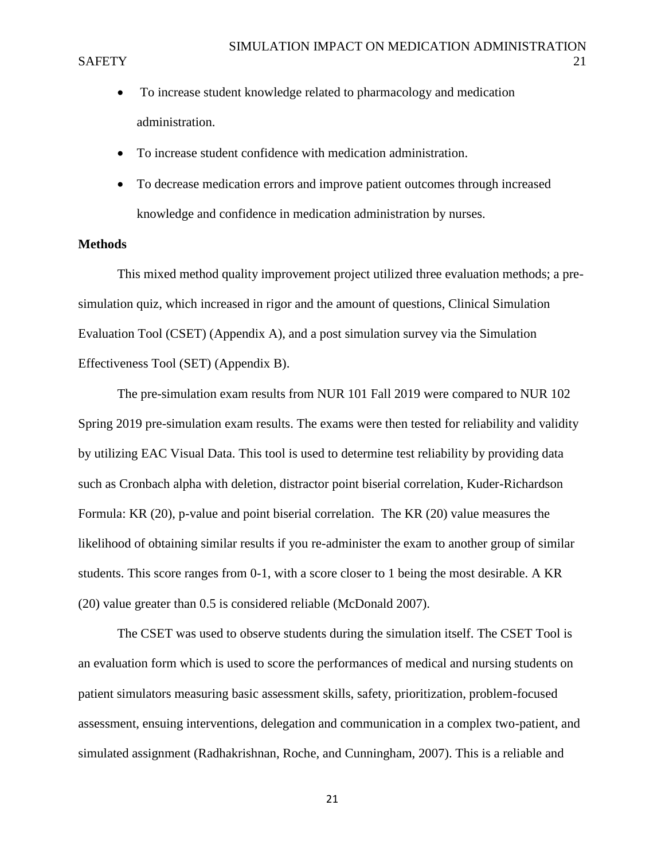- To increase student knowledge related to pharmacology and medication administration.
- To increase student confidence with medication administration.
- To decrease medication errors and improve patient outcomes through increased knowledge and confidence in medication administration by nurses.

### **Methods**

This mixed method quality improvement project utilized three evaluation methods; a presimulation quiz, which increased in rigor and the amount of questions, Clinical Simulation Evaluation Tool (CSET) (Appendix A), and a post simulation survey via the Simulation Effectiveness Tool (SET) (Appendix B).

The pre-simulation exam results from NUR 101 Fall 2019 were compared to NUR 102 Spring 2019 pre-simulation exam results. The exams were then tested for reliability and validity by utilizing EAC Visual Data. This tool is used to determine test reliability by providing data such as Cronbach alpha with deletion, distractor point biserial correlation, Kuder-Richardson Formula: KR (20), p-value and point biserial correlation. The KR (20) value measures the likelihood of obtaining similar results if you re-administer the exam to another group of similar students. This score ranges from 0-1, with a score closer to 1 being the most desirable. A KR (20) value greater than 0.5 is considered reliable (McDonald 2007).

The CSET was used to observe students during the simulation itself. The CSET Tool is an evaluation form which is used to score the performances of medical and nursing students on patient simulators measuring basic assessment skills, safety, prioritization, problem-focused assessment, ensuing interventions, delegation and communication in a complex two-patient, and simulated assignment (Radhakrishnan, Roche, and Cunningham, 2007). This is a reliable and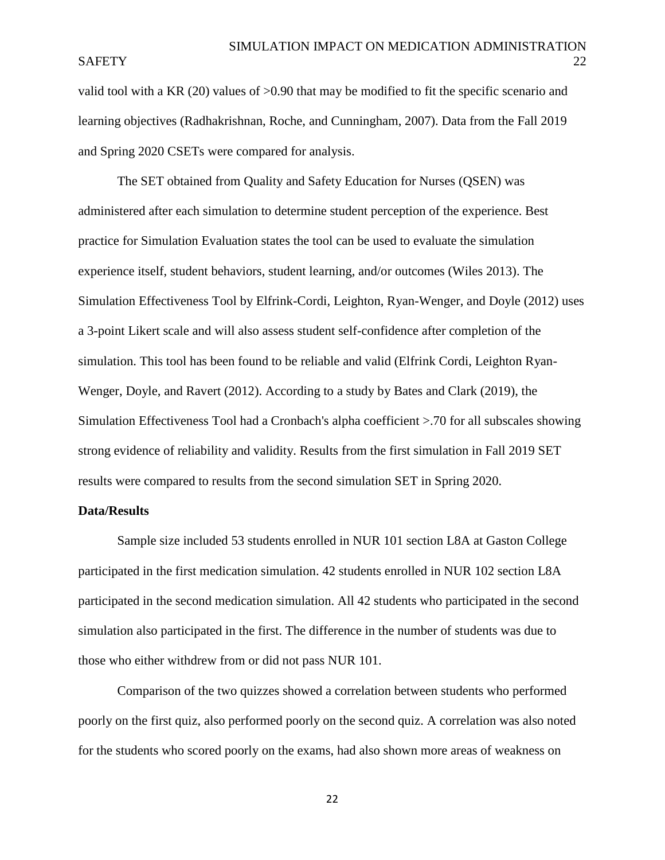valid tool with a KR (20) values of >0.90 that may be modified to fit the specific scenario and learning objectives (Radhakrishnan, Roche, and Cunningham, 2007). Data from the Fall 2019 and Spring 2020 CSETs were compared for analysis.

The SET obtained from Quality and Safety Education for Nurses (QSEN) was administered after each simulation to determine student perception of the experience. Best practice for Simulation Evaluation states the tool can be used to evaluate the simulation experience itself, student behaviors, student learning, and/or outcomes (Wiles 2013). The Simulation Effectiveness Tool by Elfrink-Cordi, Leighton, Ryan-Wenger, and Doyle (2012) uses a 3-point Likert scale and will also assess student self-confidence after completion of the simulation. This tool has been found to be reliable and valid (Elfrink Cordi, Leighton Ryan-Wenger, Doyle, and Ravert (2012). According to a study by Bates and Clark (2019), the Simulation Effectiveness Tool had a Cronbach's alpha coefficient >.70 for all subscales showing strong evidence of reliability and validity. Results from the first simulation in Fall 2019 SET results were compared to results from the second simulation SET in Spring 2020.

#### **Data/Results**

Sample size included 53 students enrolled in NUR 101 section L8A at Gaston College participated in the first medication simulation. 42 students enrolled in NUR 102 section L8A participated in the second medication simulation. All 42 students who participated in the second simulation also participated in the first. The difference in the number of students was due to those who either withdrew from or did not pass NUR 101.

Comparison of the two quizzes showed a correlation between students who performed poorly on the first quiz, also performed poorly on the second quiz. A correlation was also noted for the students who scored poorly on the exams, had also shown more areas of weakness on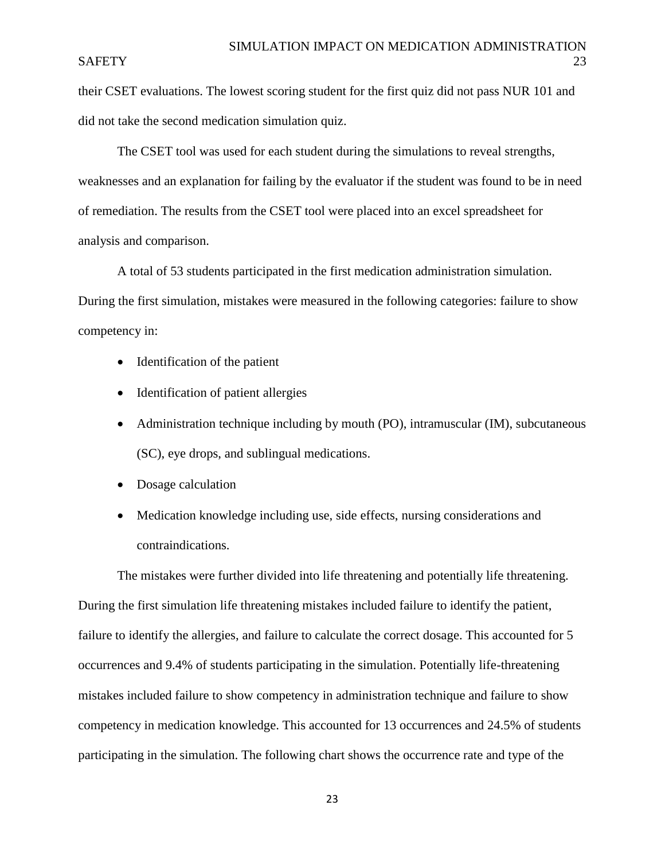their CSET evaluations. The lowest scoring student for the first quiz did not pass NUR 101 and did not take the second medication simulation quiz.

The CSET tool was used for each student during the simulations to reveal strengths, weaknesses and an explanation for failing by the evaluator if the student was found to be in need of remediation. The results from the CSET tool were placed into an excel spreadsheet for analysis and comparison.

A total of 53 students participated in the first medication administration simulation. During the first simulation, mistakes were measured in the following categories: failure to show competency in:

- Identification of the patient
- Identification of patient allergies
- Administration technique including by mouth (PO), intramuscular (IM), subcutaneous (SC), eye drops, and sublingual medications.
- Dosage calculation
- Medication knowledge including use, side effects, nursing considerations and contraindications.

The mistakes were further divided into life threatening and potentially life threatening. During the first simulation life threatening mistakes included failure to identify the patient, failure to identify the allergies, and failure to calculate the correct dosage. This accounted for 5 occurrences and 9.4% of students participating in the simulation. Potentially life-threatening mistakes included failure to show competency in administration technique and failure to show competency in medication knowledge. This accounted for 13 occurrences and 24.5% of students participating in the simulation. The following chart shows the occurrence rate and type of the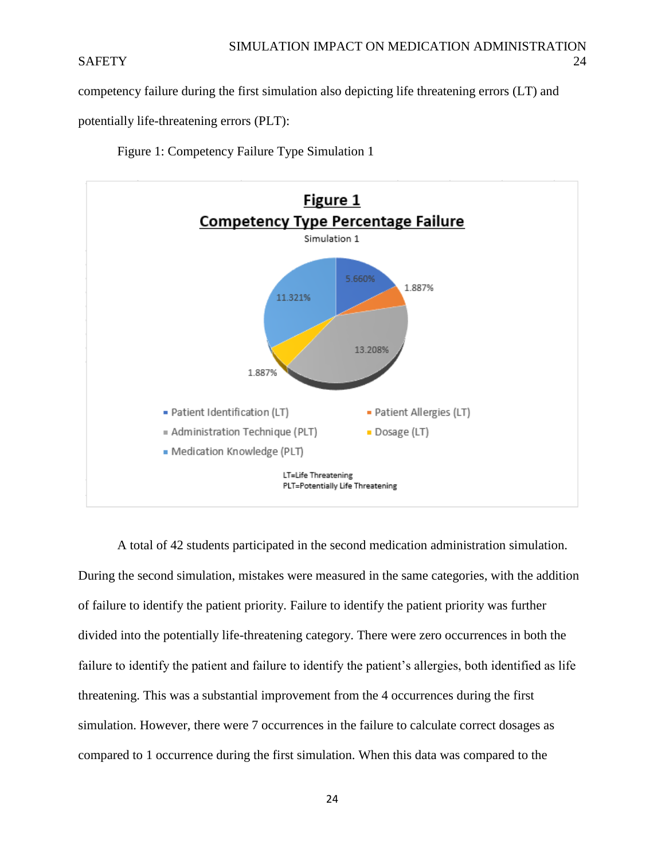competency failure during the first simulation also depicting life threatening errors (LT) and

potentially life-threatening errors (PLT):

Figure 1: Competency Failure Type Simulation 1



A total of 42 students participated in the second medication administration simulation. During the second simulation, mistakes were measured in the same categories, with the addition of failure to identify the patient priority. Failure to identify the patient priority was further divided into the potentially life-threatening category. There were zero occurrences in both the failure to identify the patient and failure to identify the patient's allergies, both identified as life threatening. This was a substantial improvement from the 4 occurrences during the first simulation. However, there were 7 occurrences in the failure to calculate correct dosages as compared to 1 occurrence during the first simulation. When this data was compared to the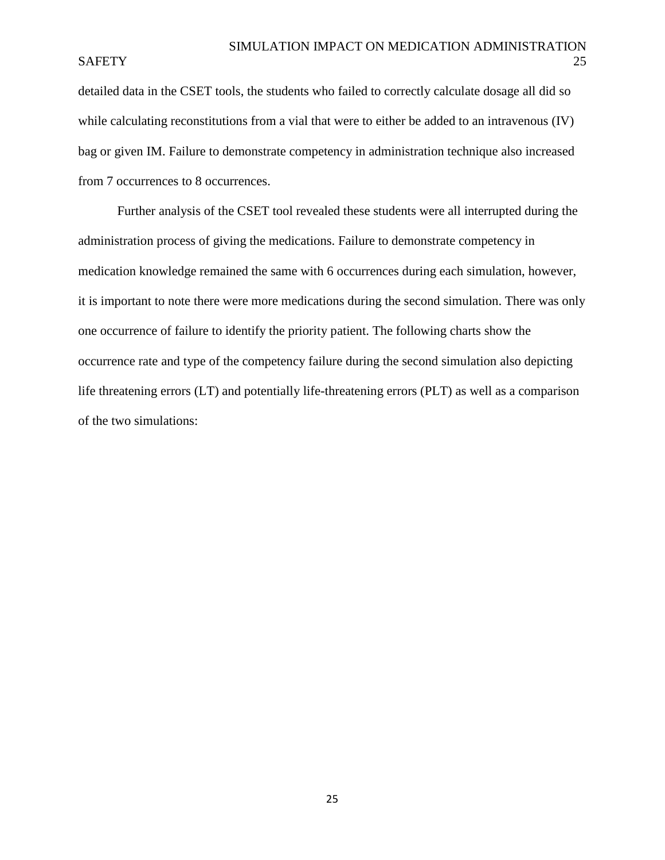detailed data in the CSET tools, the students who failed to correctly calculate dosage all did so while calculating reconstitutions from a vial that were to either be added to an intravenous (IV) bag or given IM. Failure to demonstrate competency in administration technique also increased from 7 occurrences to 8 occurrences.

Further analysis of the CSET tool revealed these students were all interrupted during the administration process of giving the medications. Failure to demonstrate competency in medication knowledge remained the same with 6 occurrences during each simulation, however, it is important to note there were more medications during the second simulation. There was only one occurrence of failure to identify the priority patient. The following charts show the occurrence rate and type of the competency failure during the second simulation also depicting life threatening errors (LT) and potentially life-threatening errors (PLT) as well as a comparison of the two simulations: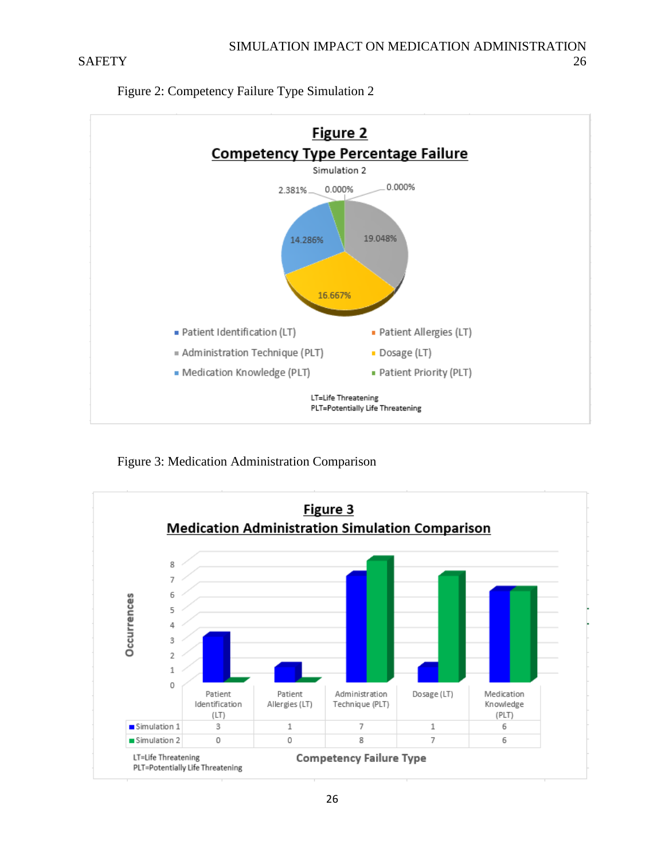

Figure 2: Competency Failure Type Simulation 2

Figure 3: Medication Administration Comparison

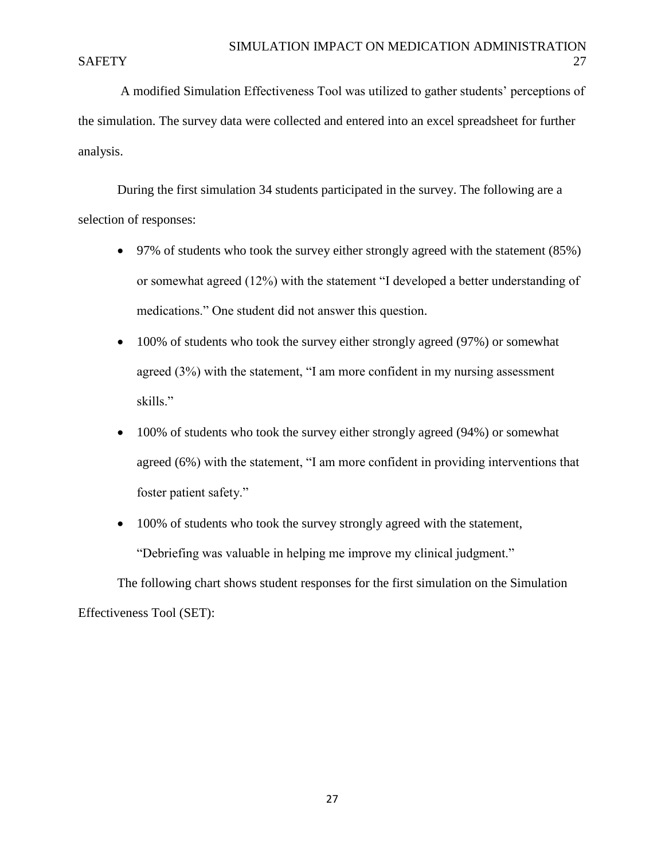A modified Simulation Effectiveness Tool was utilized to gather students' perceptions of the simulation. The survey data were collected and entered into an excel spreadsheet for further analysis.

During the first simulation 34 students participated in the survey. The following are a selection of responses:

- 97% of students who took the survey either strongly agreed with the statement (85%) or somewhat agreed (12%) with the statement "I developed a better understanding of medications." One student did not answer this question.
- 100% of students who took the survey either strongly agreed (97%) or somewhat agreed (3%) with the statement, "I am more confident in my nursing assessment skills."
- 100% of students who took the survey either strongly agreed (94%) or somewhat agreed (6%) with the statement, "I am more confident in providing interventions that foster patient safety."
- 100% of students who took the survey strongly agreed with the statement, "Debriefing was valuable in helping me improve my clinical judgment."

The following chart shows student responses for the first simulation on the Simulation Effectiveness Tool (SET):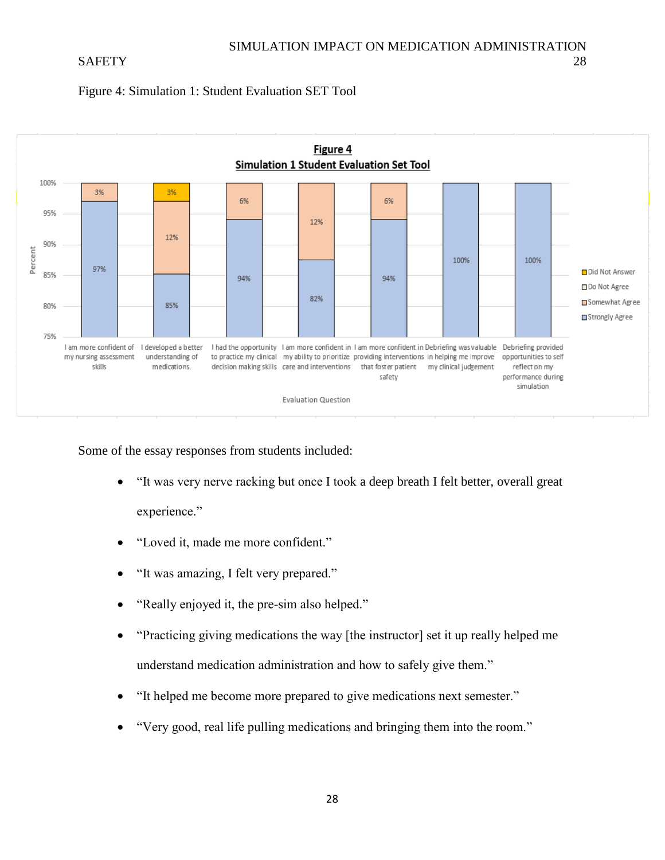



Some of the essay responses from students included:

- "It was very nerve racking but once I took a deep breath I felt better, overall great experience."
- "Loved it, made me more confident."
- "It was amazing, I felt very prepared."
- "Really enjoyed it, the pre-sim also helped."
- "Practicing giving medications the way [the instructor] set it up really helped me understand medication administration and how to safely give them."
- "It helped me become more prepared to give medications next semester."
- "Very good, real life pulling medications and bringing them into the room."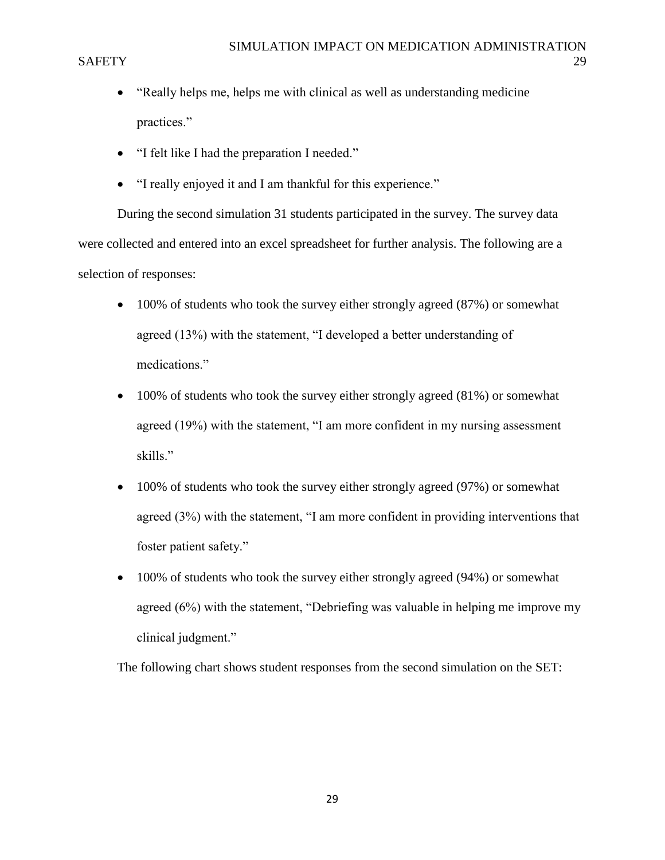- "Really helps me, helps me with clinical as well as understanding medicine practices."
- "I felt like I had the preparation I needed."
- "I really enjoyed it and I am thankful for this experience."

During the second simulation 31 students participated in the survey. The survey data were collected and entered into an excel spreadsheet for further analysis. The following are a selection of responses:

- 100% of students who took the survey either strongly agreed (87%) or somewhat agreed (13%) with the statement, "I developed a better understanding of medications."
- 100% of students who took the survey either strongly agreed (81%) or somewhat agreed (19%) with the statement, "I am more confident in my nursing assessment skills."
- 100% of students who took the survey either strongly agreed (97%) or somewhat agreed (3%) with the statement, "I am more confident in providing interventions that foster patient safety."
- 100% of students who took the survey either strongly agreed (94%) or somewhat agreed (6%) with the statement, "Debriefing was valuable in helping me improve my clinical judgment."

The following chart shows student responses from the second simulation on the SET: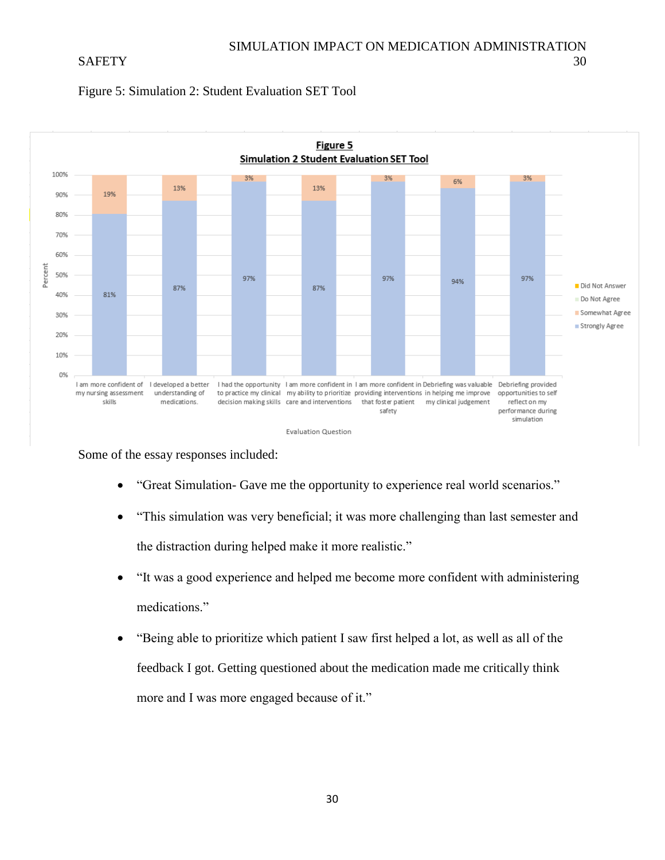



Some of the essay responses included:

- "Great Simulation- Gave me the opportunity to experience real world scenarios."
- "This simulation was very beneficial; it was more challenging than last semester and the distraction during helped make it more realistic."
- "It was a good experience and helped me become more confident with administering medications."
- "Being able to prioritize which patient I saw first helped a lot, as well as all of the feedback I got. Getting questioned about the medication made me critically think more and I was more engaged because of it."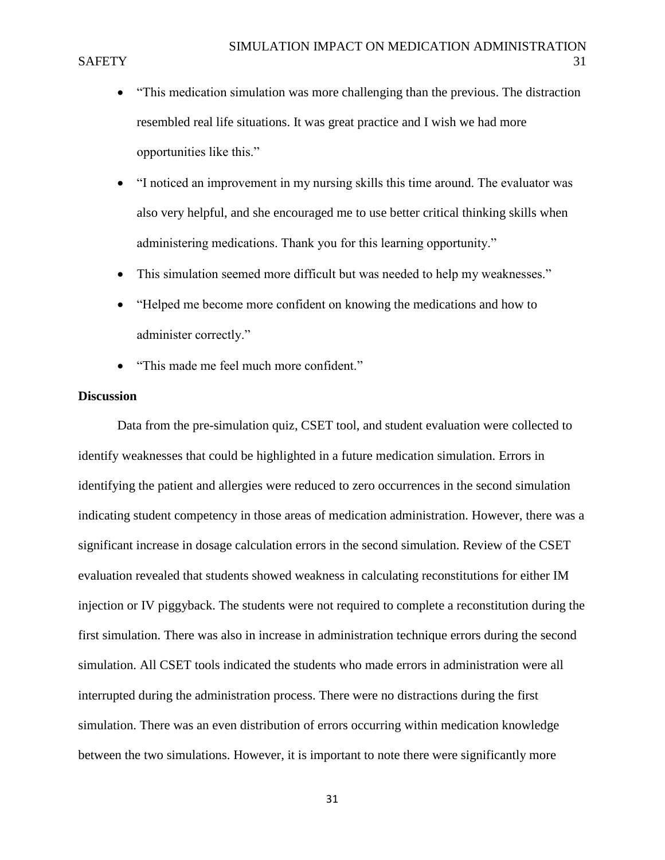- "This medication simulation was more challenging than the previous. The distraction resembled real life situations. It was great practice and I wish we had more opportunities like this."
- "I noticed an improvement in my nursing skills this time around. The evaluator was also very helpful, and she encouraged me to use better critical thinking skills when administering medications. Thank you for this learning opportunity."
- This simulation seemed more difficult but was needed to help my weaknesses."
- "Helped me become more confident on knowing the medications and how to administer correctly."
- "This made me feel much more confident."

### **Discussion**

Data from the pre-simulation quiz, CSET tool, and student evaluation were collected to identify weaknesses that could be highlighted in a future medication simulation. Errors in identifying the patient and allergies were reduced to zero occurrences in the second simulation indicating student competency in those areas of medication administration. However, there was a significant increase in dosage calculation errors in the second simulation. Review of the CSET evaluation revealed that students showed weakness in calculating reconstitutions for either IM injection or IV piggyback. The students were not required to complete a reconstitution during the first simulation. There was also in increase in administration technique errors during the second simulation. All CSET tools indicated the students who made errors in administration were all interrupted during the administration process. There were no distractions during the first simulation. There was an even distribution of errors occurring within medication knowledge between the two simulations. However, it is important to note there were significantly more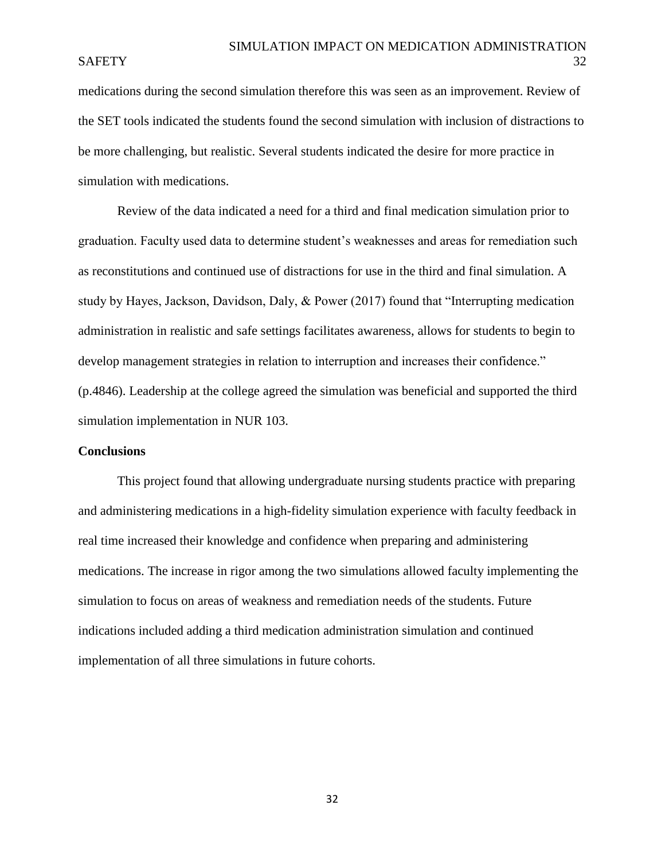medications during the second simulation therefore this was seen as an improvement. Review of the SET tools indicated the students found the second simulation with inclusion of distractions to be more challenging, but realistic. Several students indicated the desire for more practice in simulation with medications.

Review of the data indicated a need for a third and final medication simulation prior to graduation. Faculty used data to determine student's weaknesses and areas for remediation such as reconstitutions and continued use of distractions for use in the third and final simulation. A study by Hayes, Jackson, Davidson, Daly, & Power (2017) found that "Interrupting medication administration in realistic and safe settings facilitates awareness, allows for students to begin to develop management strategies in relation to interruption and increases their confidence." (p.4846). Leadership at the college agreed the simulation was beneficial and supported the third simulation implementation in NUR 103.

### **Conclusions**

This project found that allowing undergraduate nursing students practice with preparing and administering medications in a high-fidelity simulation experience with faculty feedback in real time increased their knowledge and confidence when preparing and administering medications. The increase in rigor among the two simulations allowed faculty implementing the simulation to focus on areas of weakness and remediation needs of the students. Future indications included adding a third medication administration simulation and continued implementation of all three simulations in future cohorts.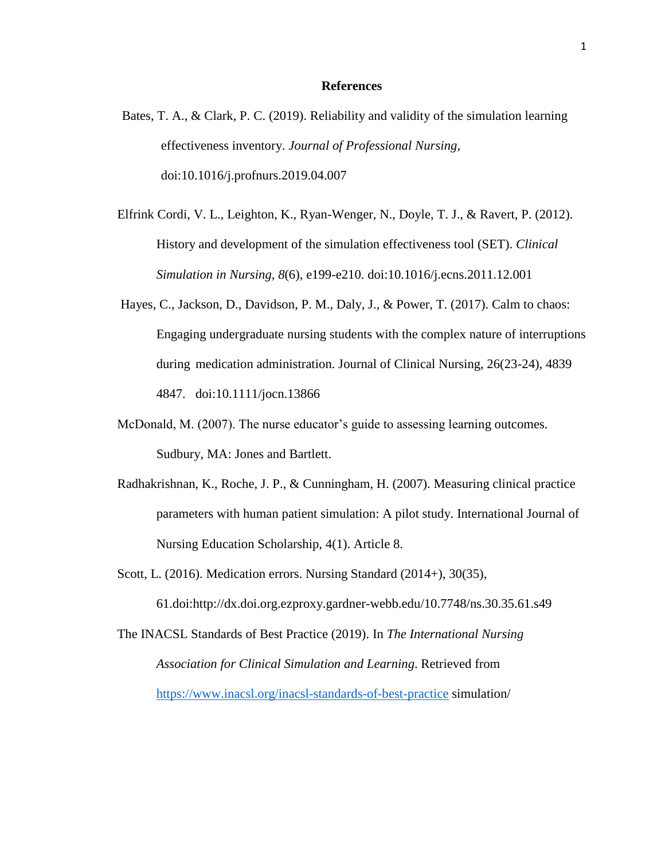#### **References**

- Bates, T. A., & Clark, P. C. (2019). Reliability and validity of the simulation learning effectiveness inventory. *Journal of Professional Nursing*, doi:10.1016/j.profnurs.2019.04.007
- Elfrink Cordi, V. L., Leighton, K., Ryan-Wenger, N., Doyle, T. J., & Ravert, P. (2012). History and development of the simulation effectiveness tool (SET). *Clinical Simulation in Nursing, 8*(6), e199-e210. doi:10.1016/j.ecns.2011.12.001
- Hayes, C., Jackson, D., Davidson, P. M., Daly, J., & Power, T. (2017). Calm to chaos: Engaging undergraduate nursing students with the complex nature of interruptions during medication administration. Journal of Clinical Nursing, 26(23-24), 4839 4847. doi:10.1111/jocn.13866
- McDonald, M. (2007). The nurse educator's guide to assessing learning outcomes. Sudbury, MA: Jones and Bartlett.
- Radhakrishnan, K., Roche, J. P., & Cunningham, H. (2007). Measuring clinical practice parameters with human patient simulation: A pilot study. International Journal of Nursing Education Scholarship, 4(1). Article 8.
- Scott, L. (2016). Medication errors. Nursing Standard (2014+), 30(35),

61.doi:http://dx.doi.org.ezproxy.gardner-webb.edu/10.7748/ns.30.35.61.s49

The INACSL Standards of Best Practice (2019). In *The International Nursing Association for Clinical Simulation and Learning*. Retrieved from https://www.inacsl.org/inacsl-standards-of-best-practice simulation/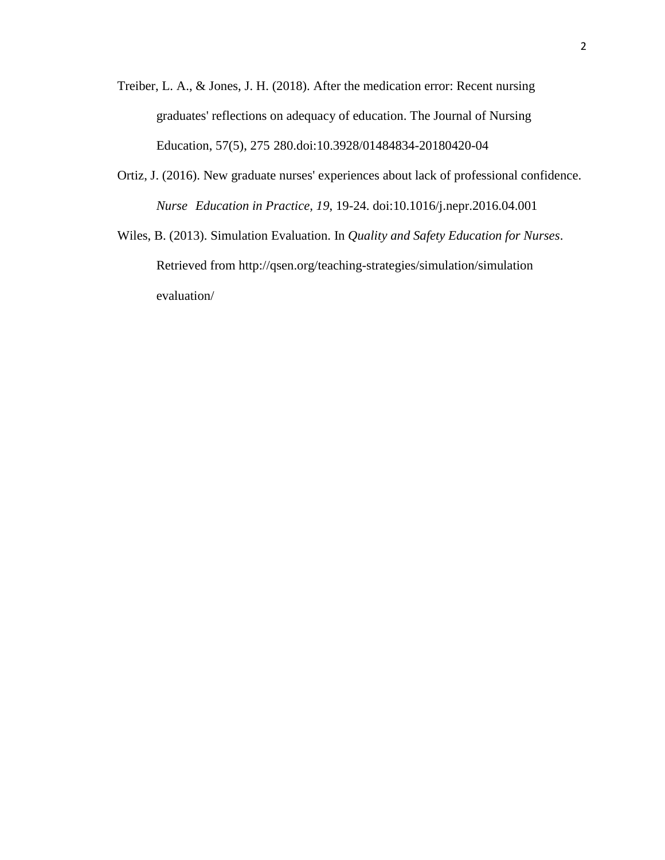- Treiber, L. A., & Jones, J. H. (2018). After the medication error: Recent nursing graduates' reflections on adequacy of education. The Journal of Nursing Education, 57(5), 275 280.doi:10.3928/01484834-20180420-04
- Ortiz, J. (2016). New graduate nurses' experiences about lack of professional confidence. *Nurse Education in Practice, 19*, 19-24. doi:10.1016/j.nepr.2016.04.001
- Wiles, B. (2013). Simulation Evaluation. In *Quality and Safety Education for Nurses*. Retrieved from http://qsen.org/teaching-strategies/simulation/simulation evaluation/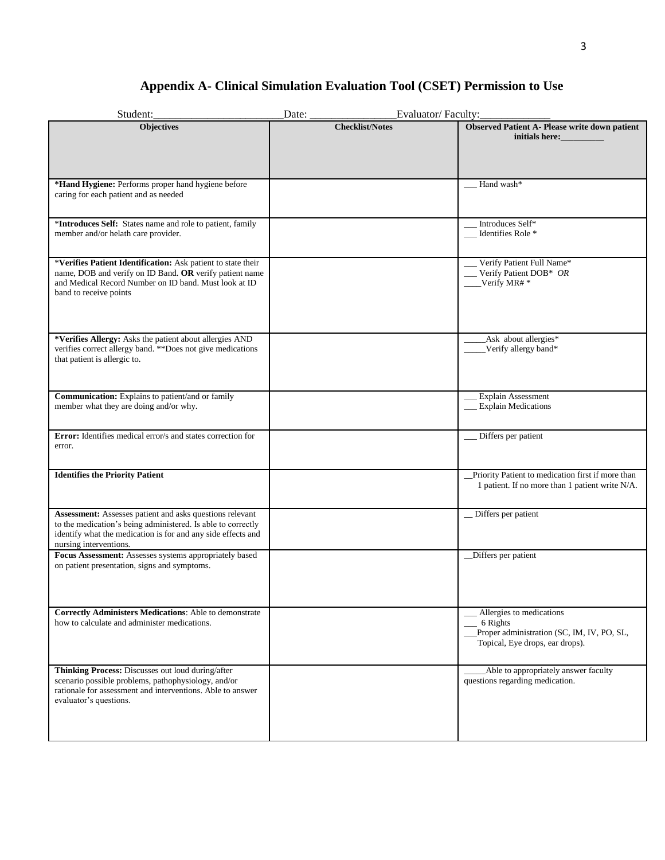# **Appendix A- Clinical Simulation Evaluation Tool (CSET) Permission to Use**

| Student:                                                                                                                                                                                                           | Date:                  | Evaluator/Faculty:                                                                                                    |
|--------------------------------------------------------------------------------------------------------------------------------------------------------------------------------------------------------------------|------------------------|-----------------------------------------------------------------------------------------------------------------------|
| <b>Objectives</b>                                                                                                                                                                                                  | <b>Checklist/Notes</b> | <b>Observed Patient A- Please write down patient</b><br>initials here:                                                |
| *Hand Hygiene: Performs proper hand hygiene before<br>caring for each patient and as needed                                                                                                                        |                        | Hand wash*                                                                                                            |
| *Introduces Self: States name and role to patient, family<br>member and/or helath care provider.                                                                                                                   |                        | Introduces Self*<br>Identifies Role *                                                                                 |
| *Verifies Patient Identification: Ask patient to state their<br>name, DOB and verify on ID Band. OR verify patient name<br>and Medical Record Number on ID band. Must look at ID<br>band to receive points         |                        | Verify Patient Full Name*<br>Verify Patient DOB* OR<br>$\perp$ Verify MR# *                                           |
| *Verifies Allergy: Asks the patient about allergies AND<br>verifies correct allergy band. ** Does not give medications<br>that patient is allergic to.                                                             |                        | Ask about allergies*<br>Verify allergy band*                                                                          |
| Communication: Explains to patient/and or family<br>member what they are doing and/or why.                                                                                                                         |                        | <b>Explain Assessment</b><br><b>Explain Medications</b>                                                               |
| Error: Identifies medical error/s and states correction for<br>error.                                                                                                                                              |                        | Differs per patient                                                                                                   |
| <b>Identifies the Priority Patient</b>                                                                                                                                                                             |                        | Priority Patient to medication first if more than<br>1 patient. If no more than 1 patient write N/A.                  |
| Assessment: Assesses patient and asks questions relevant<br>to the medication's being administered. Is able to correctly<br>identify what the medication is for and any side effects and<br>nursing interventions. |                        | _Differs per patient                                                                                                  |
| Focus Assessment: Assesses systems appropriately based<br>on patient presentation, signs and symptoms.                                                                                                             |                        | _Differs per patient                                                                                                  |
| <b>Correctly Administers Medications:</b> Able to demonstrate<br>how to calculate and administer medications.                                                                                                      |                        | Allergies to medications<br>6 Rights<br>Proper administration (SC, IM, IV, PO, SL,<br>Topical, Eye drops, ear drops). |
| Thinking Process: Discusses out loud during/after<br>scenario possible problems, pathophysiology, and/or<br>rationale for assessment and interventions. Able to answer<br>evaluator's questions.                   |                        | Able to appropriately answer faculty<br>questions regarding medication.                                               |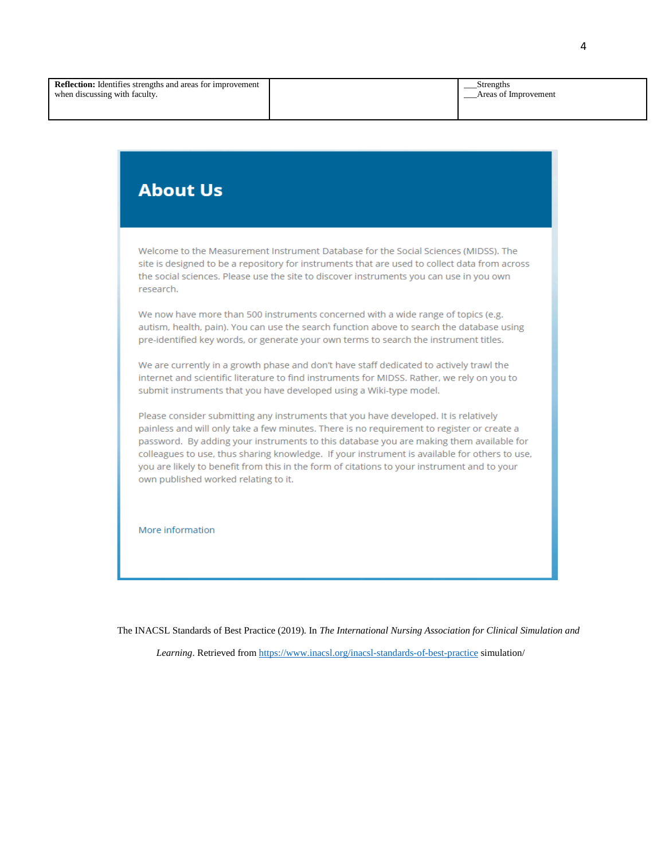\_\_\_Strengths \_\_\_Areas of Improvement

# **About Us**

Welcome to the Measurement Instrument Database for the Social Sciences (MIDSS). The site is designed to be a repository for instruments that are used to collect data from across the social sciences. Please use the site to discover instruments you can use in you own research.

We now have more than 500 instruments concerned with a wide range of topics (e.g. autism, health, pain). You can use the search function above to search the database using pre-identified key words, or generate your own terms to search the instrument titles.

We are currently in a growth phase and don't have staff dedicated to actively trawl the internet and scientific literature to find instruments for MIDSS. Rather, we rely on you to submit instruments that you have developed using a Wiki-type model.

Please consider submitting any instruments that you have developed. It is relatively painless and will only take a few minutes. There is no requirement to register or create a password. By adding your instruments to this database you are making them available for colleagues to use, thus sharing knowledge. If your instrument is available for others to use, you are likely to benefit from this in the form of citations to your instrument and to your own published worked relating to it.

More information

The INACSL Standards of Best Practice (2019). In *The International Nursing Association for Clinical Simulation and* 

*Learning*. Retrieved from https://www.inacsl.org/inacsl-standards-of-best-practice simulation/